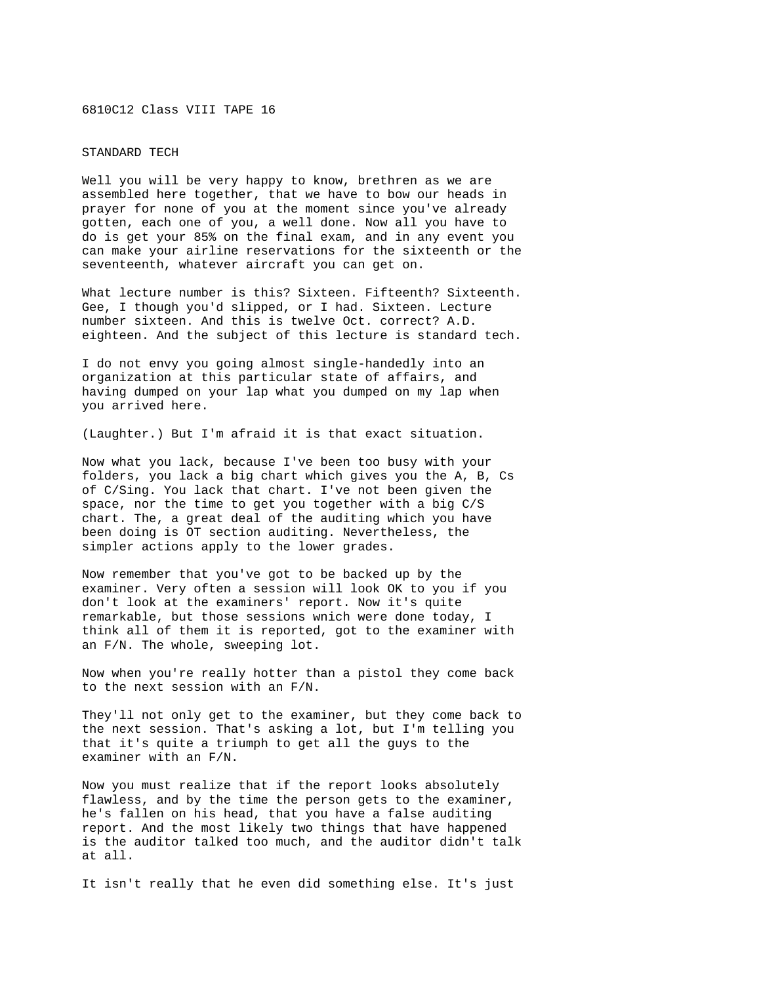6810C12 Class VIII TAPE 16

## STANDARD TECH

Well you will be very happy to know, brethren as we are assembled here together, that we have to bow our heads in prayer for none of you at the moment since you've already gotten, each one of you, a well done. Now all you have to do is get your 85% on the final exam, and in any event you can make your airline reservations for the sixteenth or the seventeenth, whatever aircraft you can get on.

What lecture number is this? Sixteen. Fifteenth? Sixteenth. Gee, I though you'd slipped, or I had. Sixteen. Lecture number sixteen. And this is twelve Oct. correct? A.D. eighteen. And the subject of this lecture is standard tech.

I do not envy you going almost single-handedly into an organization at this particular state of affairs, and having dumped on your lap what you dumped on my lap when you arrived here.

(Laughter.) But I'm afraid it is that exact situation.

Now what you lack, because I've been too busy with your folders, you lack a big chart which gives you the A, B, Cs of C/Sing. You lack that chart. I've not been given the space, nor the time to get you together with a big C/S chart. The, a great deal of the auditing which you have been doing is OT section auditing. Nevertheless, the simpler actions apply to the lower grades.

Now remember that you've got to be backed up by the examiner. Very often a session will look OK to you if you don't look at the examiners' report. Now it's quite remarkable, but those sessions wnich were done today, I think all of them it is reported, got to the examiner with an F/N. The whole, sweeping lot.

Now when you're really hotter than a pistol they come back to the next session with an F/N.

They'll not only get to the examiner, but they come back to the next session. That's asking a lot, but I'm telling you that it's quite a triumph to get all the guys to the examiner with an F/N.

Now you must realize that if the report looks absolutely flawless, and by the time the person gets to the examiner, he's fallen on his head, that you have a false auditing report. And the most likely two things that have happened is the auditor talked too much, and the auditor didn't talk at all.

It isn't really that he even did something else. It's just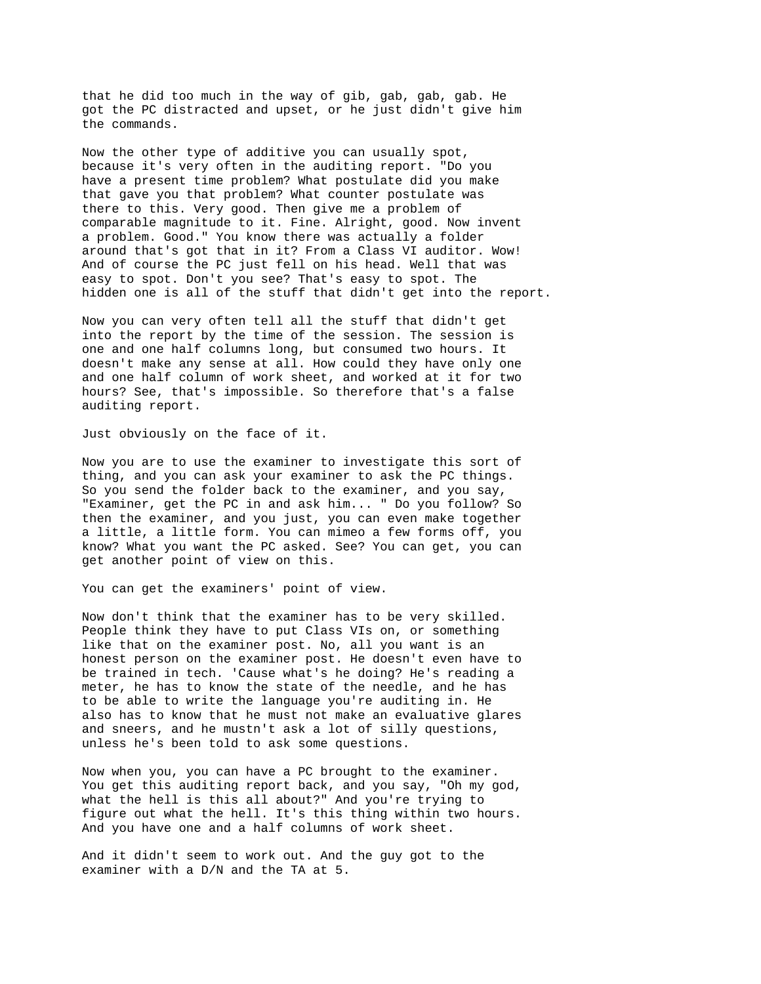that he did too much in the way of gib, gab, gab, gab. He got the PC distracted and upset, or he just didn't give him the commands.

Now the other type of additive you can usually spot, because it's very often in the auditing report. "Do you have a present time problem? What postulate did you make that gave you that problem? What counter postulate was there to this. Very good. Then give me a problem of comparable magnitude to it. Fine. Alright, good. Now invent a problem. Good." You know there was actually a folder around that's got that in it? From a Class VI auditor. Wow! And of course the PC just fell on his head. Well that was easy to spot. Don't you see? That's easy to spot. The hidden one is all of the stuff that didn't get into the report.

Now you can very often tell all the stuff that didn't get into the report by the time of the session. The session is one and one half columns long, but consumed two hours. It doesn't make any sense at all. How could they have only one and one half column of work sheet, and worked at it for two hours? See, that's impossible. So therefore that's a false auditing report.

Just obviously on the face of it.

Now you are to use the examiner to investigate this sort of thing, and you can ask your examiner to ask the PC things. So you send the folder back to the examiner, and you say, "Examiner, get the PC in and ask him... " Do you follow? So then the examiner, and you just, you can even make together a little, a little form. You can mimeo a few forms off, you know? What you want the PC asked. See? You can get, you can get another point of view on this.

You can get the examiners' point of view.

Now don't think that the examiner has to be very skilled. People think they have to put Class VIs on, or something like that on the examiner post. No, all you want is an honest person on the examiner post. He doesn't even have to be trained in tech. 'Cause what's he doing? He's reading a meter, he has to know the state of the needle, and he has to be able to write the language you're auditing in. He also has to know that he must not make an evaluative glares and sneers, and he mustn't ask a lot of silly questions, unless he's been told to ask some questions.

Now when you, you can have a PC brought to the examiner. You get this auditing report back, and you say, "Oh my god, what the hell is this all about?" And you're trying to figure out what the hell. It's this thing within two hours. And you have one and a half columns of work sheet.

And it didn't seem to work out. And the guy got to the examiner with a D/N and the TA at 5.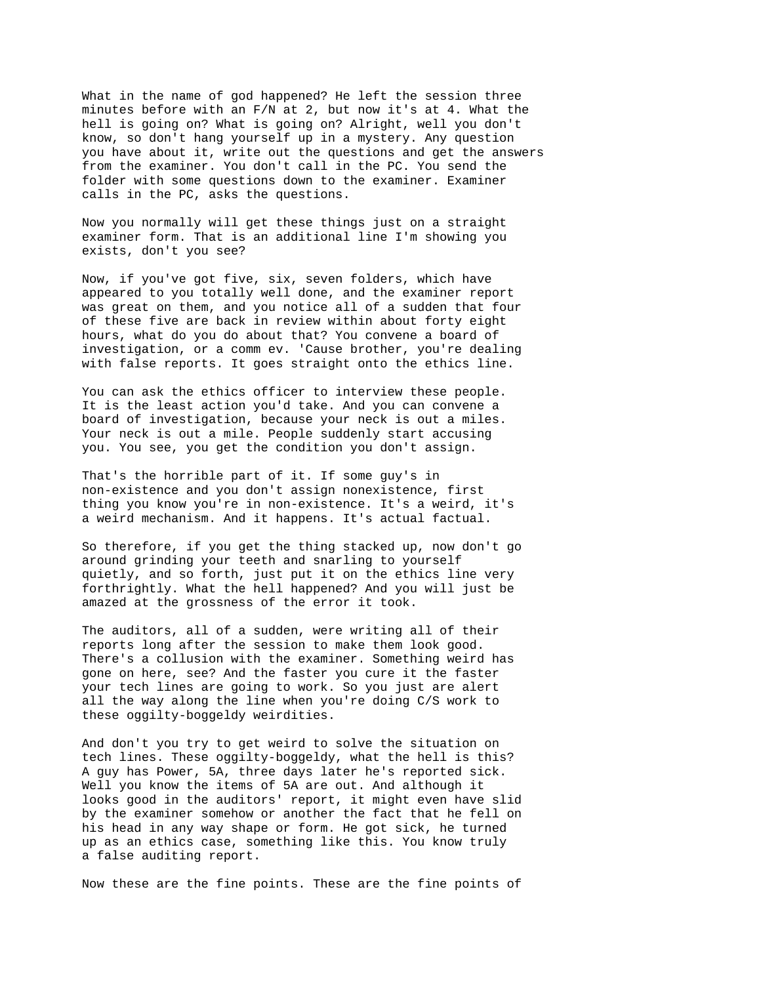What in the name of god happened? He left the session three minutes before with an F/N at 2, but now it's at 4. What the hell is going on? What is going on? Alright, well you don't know, so don't hang yourself up in a mystery. Any question you have about it, write out the questions and get the answers from the examiner. You don't call in the PC. You send the folder with some questions down to the examiner. Examiner calls in the PC, asks the questions.

Now you normally will get these things just on a straight examiner form. That is an additional line I'm showing you exists, don't you see?

Now, if you've got five, six, seven folders, which have appeared to you totally well done, and the examiner report was great on them, and you notice all of a sudden that four of these five are back in review within about forty eight hours, what do you do about that? You convene a board of investigation, or a comm ev. 'Cause brother, you're dealing with false reports. It goes straight onto the ethics line.

You can ask the ethics officer to interview these people. It is the least action you'd take. And you can convene a board of investigation, because your neck is out a miles. Your neck is out a mile. People suddenly start accusing you. You see, you get the condition you don't assign.

That's the horrible part of it. If some guy's in non-existence and you don't assign nonexistence, first thing you know you're in non-existence. It's a weird, it's a weird mechanism. And it happens. It's actual factual.

So therefore, if you get the thing stacked up, now don't go around grinding your teeth and snarling to yourself quietly, and so forth, just put it on the ethics line very forthrightly. What the hell happened? And you will just be amazed at the grossness of the error it took.

The auditors, all of a sudden, were writing all of their reports long after the session to make them look good. There's a collusion with the examiner. Something weird has gone on here, see? And the faster you cure it the faster your tech lines are going to work. So you just are alert all the way along the line when you're doing C/S work to these oggilty-boggeldy weirdities.

And don't you try to get weird to solve the situation on tech lines. These oggilty-boggeldy, what the hell is this? A guy has Power, 5A, three days later he's reported sick. Well you know the items of 5A are out. And although it looks good in the auditors' report, it might even have slid by the examiner somehow or another the fact that he fell on his head in any way shape or form. He got sick, he turned up as an ethics case, something like this. You know truly a false auditing report.

Now these are the fine points. These are the fine points of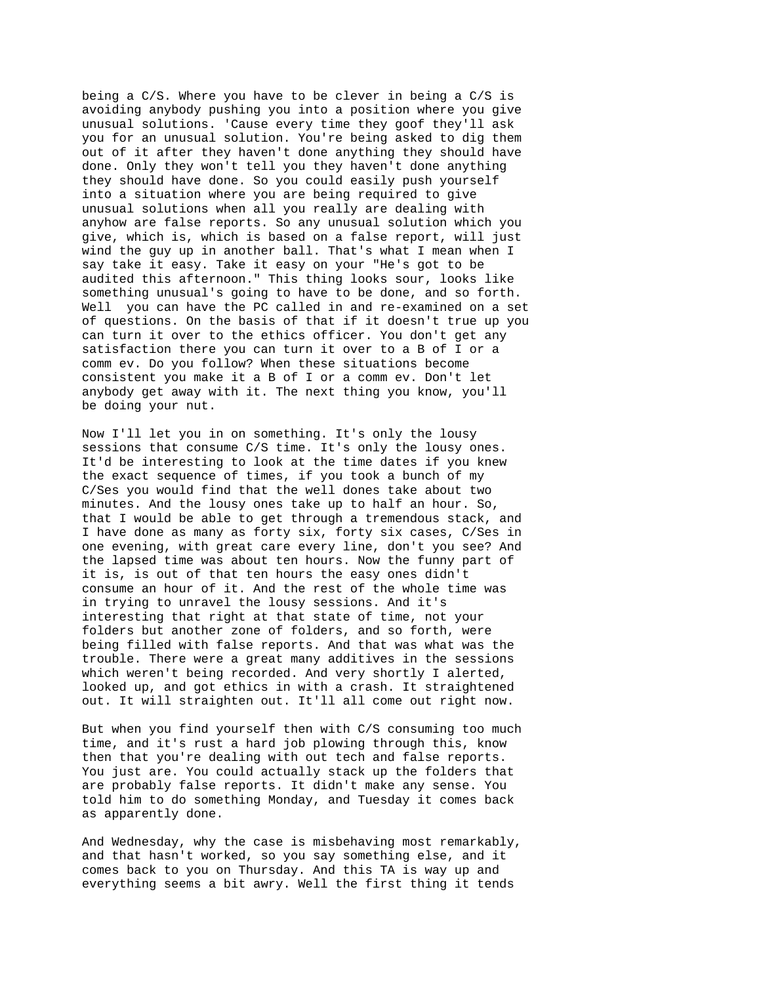being a C/S. Where you have to be clever in being a C/S is avoiding anybody pushing you into a position where you give unusual solutions. 'Cause every time they goof they'll ask you for an unusual solution. You're being asked to dig them out of it after they haven't done anything they should have done. Only they won't tell you they haven't done anything they should have done. So you could easily push yourself into a situation where you are being required to give unusual solutions when all you really are dealing with anyhow are false reports. So any unusual solution which you give, which is, which is based on a false report, will just wind the guy up in another ball. That's what I mean when I say take it easy. Take it easy on your "He's got to be audited this afternoon." This thing looks sour, looks like something unusual's going to have to be done, and so forth. Well you can have the PC called in and re-examined on a set of questions. On the basis of that if it doesn't true up you can turn it over to the ethics officer. You don't get any satisfaction there you can turn it over to a B of I or a comm ev. Do you follow? When these situations become consistent you make it a B of I or a comm ev. Don't let anybody get away with it. The next thing you know, you'll be doing your nut.

Now I'll let you in on something. It's only the lousy sessions that consume C/S time. It's only the lousy ones. It'd be interesting to look at the time dates if you knew the exact sequence of times, if you took a bunch of my C/Ses you would find that the well dones take about two minutes. And the lousy ones take up to half an hour. So, that I would be able to get through a tremendous stack, and I have done as many as forty six, forty six cases, C/Ses in one evening, with great care every line, don't you see? And the lapsed time was about ten hours. Now the funny part of it is, is out of that ten hours the easy ones didn't consume an hour of it. And the rest of the whole time was in trying to unravel the lousy sessions. And it's interesting that right at that state of time, not your folders but another zone of folders, and so forth, were being filled with false reports. And that was what was the trouble. There were a great many additives in the sessions which weren't being recorded. And very shortly I alerted, looked up, and got ethics in with a crash. It straightened out. It will straighten out. It'll all come out right now.

But when you find yourself then with C/S consuming too much time, and it's rust a hard job plowing through this, know then that you're dealing with out tech and false reports. You just are. You could actually stack up the folders that are probably false reports. It didn't make any sense. You told him to do something Monday, and Tuesday it comes back as apparently done.

And Wednesday, why the case is misbehaving most remarkably, and that hasn't worked, so you say something else, and it comes back to you on Thursday. And this TA is way up and everything seems a bit awry. Well the first thing it tends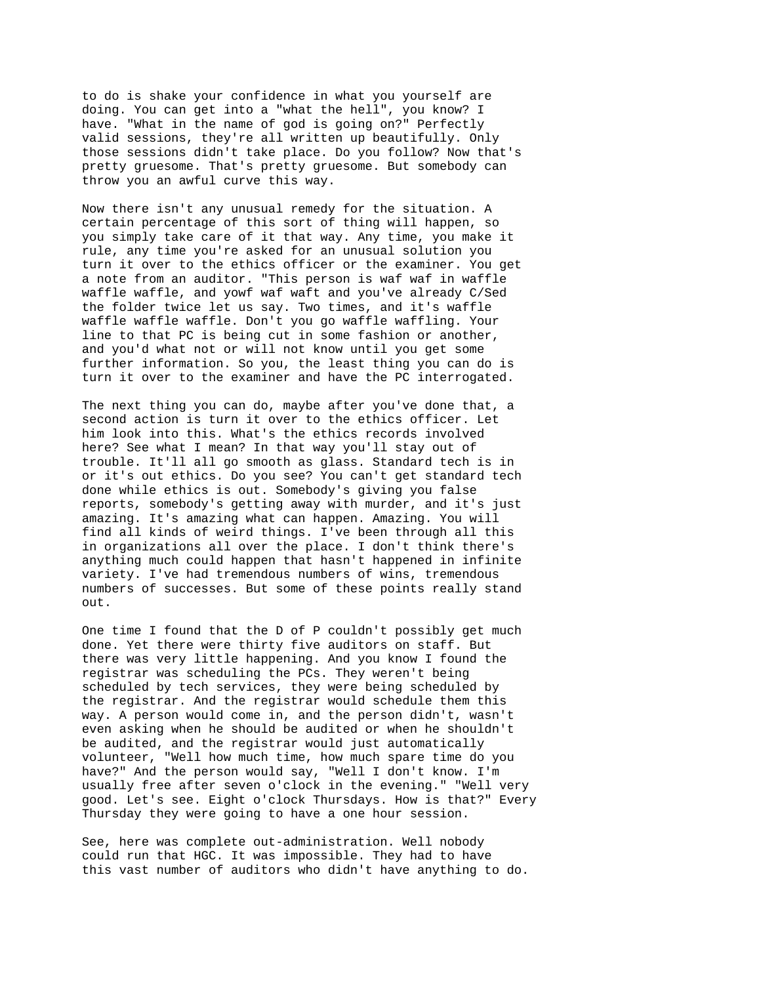to do is shake your confidence in what you yourself are doing. You can get into a "what the hell", you know? I have. "What in the name of god is going on?" Perfectly valid sessions, they're all written up beautifully. Only those sessions didn't take place. Do you follow? Now that's pretty gruesome. That's pretty gruesome. But somebody can throw you an awful curve this way.

Now there isn't any unusual remedy for the situation. A certain percentage of this sort of thing will happen, so you simply take care of it that way. Any time, you make it rule, any time you're asked for an unusual solution you turn it over to the ethics officer or the examiner. You get a note from an auditor. "This person is waf waf in waffle waffle waffle, and yowf waf waft and you've already C/Sed the folder twice let us say. Two times, and it's waffle waffle waffle waffle. Don't you go waffle waffling. Your line to that PC is being cut in some fashion or another, and you'd what not or will not know until you get some further information. So you, the least thing you can do is turn it over to the examiner and have the PC interrogated.

The next thing you can do, maybe after you've done that, a second action is turn it over to the ethics officer. Let him look into this. What's the ethics records involved here? See what I mean? In that way you'll stay out of trouble. It'll all go smooth as glass. Standard tech is in or it's out ethics. Do you see? You can't get standard tech done while ethics is out. Somebody's giving you false reports, somebody's getting away with murder, and it's just amazing. It's amazing what can happen. Amazing. You will find all kinds of weird things. I've been through all this in organizations all over the place. I don't think there's anything much could happen that hasn't happened in infinite variety. I've had tremendous numbers of wins, tremendous numbers of successes. But some of these points really stand out.

One time I found that the D of P couldn't possibly get much done. Yet there were thirty five auditors on staff. But there was very little happening. And you know I found the registrar was scheduling the PCs. They weren't being scheduled by tech services, they were being scheduled by the registrar. And the registrar would schedule them this way. A person would come in, and the person didn't, wasn't even asking when he should be audited or when he shouldn't be audited, and the registrar would just automatically volunteer, "Well how much time, how much spare time do you have?" And the person would say, "Well I don't know. I'm usually free after seven o'clock in the evening." "Well very good. Let's see. Eight o'clock Thursdays. How is that?" Every Thursday they were going to have a one hour session.

See, here was complete out-administration. Well nobody could run that HGC. It was impossible. They had to have this vast number of auditors who didn't have anything to do.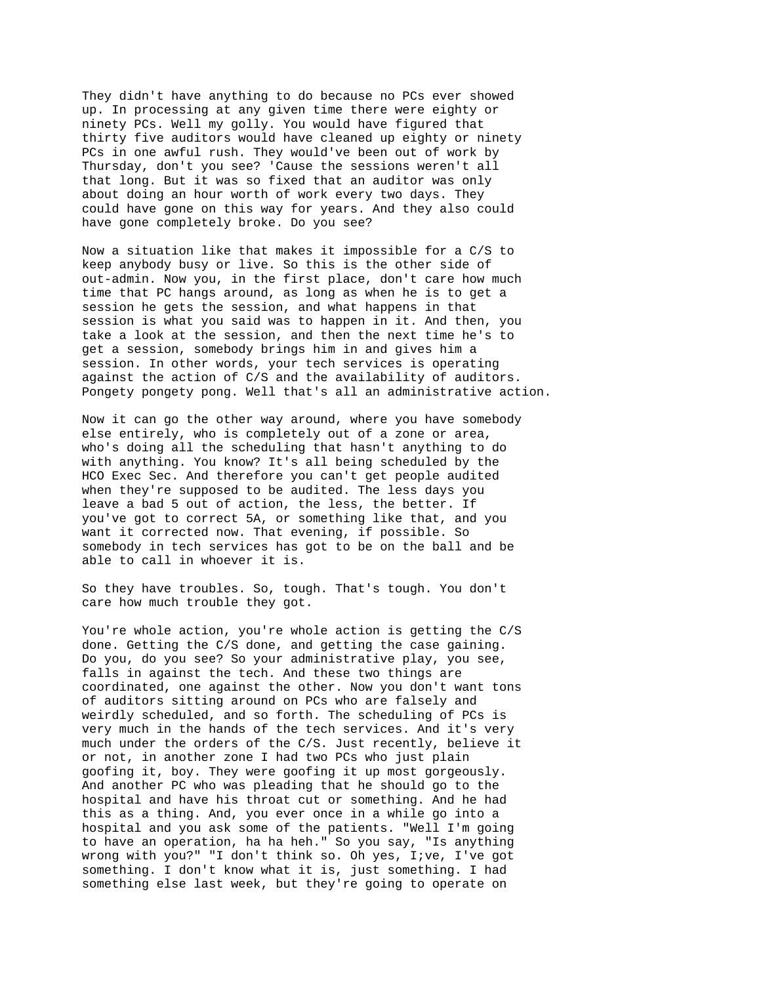They didn't have anything to do because no PCs ever showed up. In processing at any given time there were eighty or ninety PCs. Well my golly. You would have figured that thirty five auditors would have cleaned up eighty or ninety PCs in one awful rush. They would've been out of work by Thursday, don't you see? 'Cause the sessions weren't all that long. But it was so fixed that an auditor was only about doing an hour worth of work every two days. They could have gone on this way for years. And they also could have gone completely broke. Do you see?

Now a situation like that makes it impossible for a C/S to keep anybody busy or live. So this is the other side of out-admin. Now you, in the first place, don't care how much time that PC hangs around, as long as when he is to get a session he gets the session, and what happens in that session is what you said was to happen in it. And then, you take a look at the session, and then the next time he's to get a session, somebody brings him in and gives him a session. In other words, your tech services is operating against the action of C/S and the availability of auditors. Pongety pongety pong. Well that's all an administrative action.

Now it can go the other way around, where you have somebody else entirely, who is completely out of a zone or area, who's doing all the scheduling that hasn't anything to do with anything. You know? It's all being scheduled by the HCO Exec Sec. And therefore you can't get people audited when they're supposed to be audited. The less days you leave a bad 5 out of action, the less, the better. If you've got to correct 5A, or something like that, and you want it corrected now. That evening, if possible. So somebody in tech services has got to be on the ball and be able to call in whoever it is.

So they have troubles. So, tough. That's tough. You don't care how much trouble they got.

You're whole action, you're whole action is getting the C/S done. Getting the C/S done, and getting the case gaining. Do you, do you see? So your administrative play, you see, falls in against the tech. And these two things are coordinated, one against the other. Now you don't want tons of auditors sitting around on PCs who are falsely and weirdly scheduled, and so forth. The scheduling of PCs is very much in the hands of the tech services. And it's very much under the orders of the C/S. Just recently, believe it or not, in another zone I had two PCs who just plain goofing it, boy. They were goofing it up most gorgeously. And another PC who was pleading that he should go to the hospital and have his throat cut or something. And he had this as a thing. And, you ever once in a while go into a hospital and you ask some of the patients. "Well I'm going to have an operation, ha ha heh." So you say, "Is anything wrong with you?" "I don't think so. Oh yes, I;ve, I've got something. I don't know what it is, just something. I had something else last week, but they're going to operate on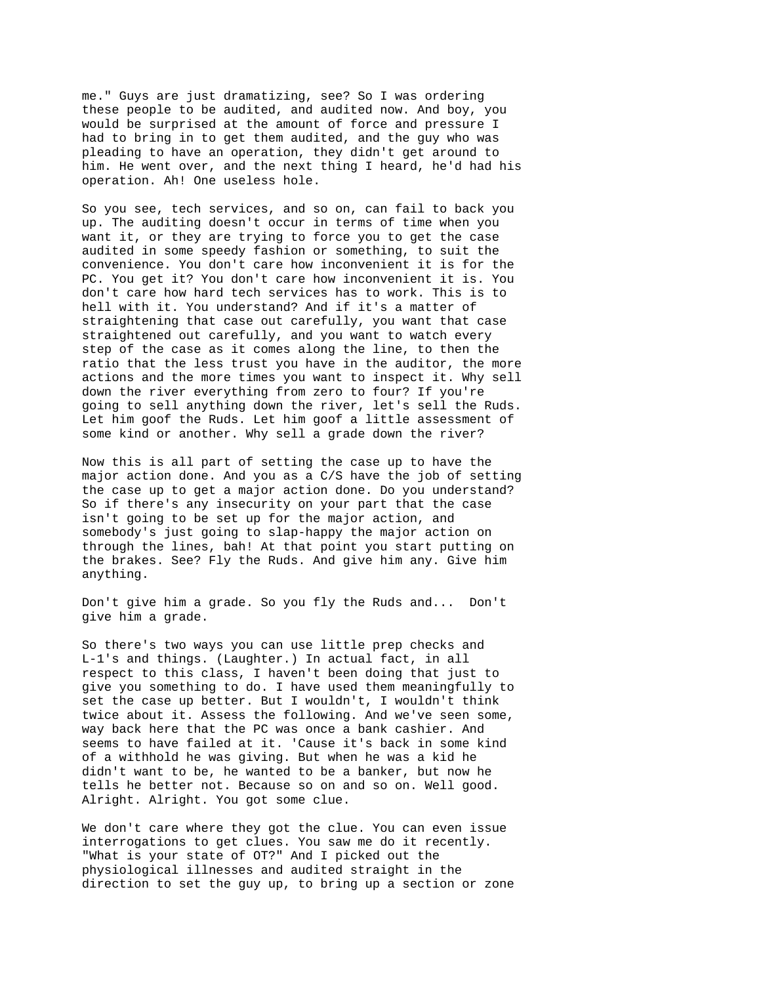me." Guys are just dramatizing, see? So I was ordering these people to be audited, and audited now. And boy, you would be surprised at the amount of force and pressure I had to bring in to get them audited, and the guy who was pleading to have an operation, they didn't get around to him. He went over, and the next thing I heard, he'd had his operation. Ah! One useless hole.

So you see, tech services, and so on, can fail to back you up. The auditing doesn't occur in terms of time when you want it, or they are trying to force you to get the case audited in some speedy fashion or something, to suit the convenience. You don't care how inconvenient it is for the PC. You get it? You don't care how inconvenient it is. You don't care how hard tech services has to work. This is to hell with it. You understand? And if it's a matter of straightening that case out carefully, you want that case straightened out carefully, and you want to watch every step of the case as it comes along the line, to then the ratio that the less trust you have in the auditor, the more actions and the more times you want to inspect it. Why sell down the river everything from zero to four? If you're going to sell anything down the river, let's sell the Ruds. Let him goof the Ruds. Let him goof a little assessment of some kind or another. Why sell a grade down the river?

Now this is all part of setting the case up to have the major action done. And you as a C/S have the job of setting the case up to get a major action done. Do you understand? So if there's any insecurity on your part that the case isn't going to be set up for the major action, and somebody's just going to slap-happy the major action on through the lines, bah! At that point you start putting on the brakes. See? Fly the Ruds. And give him any. Give him anything.

Don't give him a grade. So you fly the Ruds and... Don't give him a grade.

So there's two ways you can use little prep checks and L-1's and things. (Laughter.) In actual fact, in all respect to this class, I haven't been doing that just to give you something to do. I have used them meaningfully to set the case up better. But I wouldn't, I wouldn't think twice about it. Assess the following. And we've seen some, way back here that the PC was once a bank cashier. And seems to have failed at it. 'Cause it's back in some kind of a withhold he was giving. But when he was a kid he didn't want to be, he wanted to be a banker, but now he tells he better not. Because so on and so on. Well good. Alright. Alright. You got some clue.

We don't care where they got the clue. You can even issue interrogations to get clues. You saw me do it recently. "What is your state of OT?" And I picked out the physiological illnesses and audited straight in the direction to set the guy up, to bring up a section or zone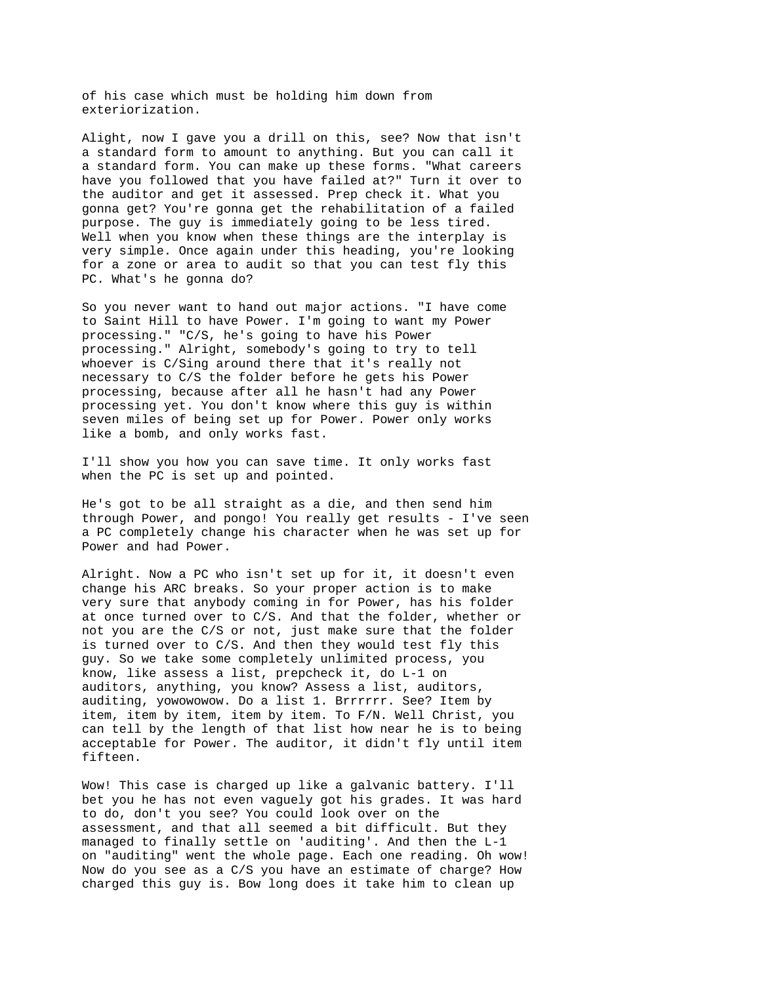of his case which must be holding him down from exteriorization.

Alight, now I gave you a drill on this, see? Now that isn't a standard form to amount to anything. But you can call it a standard form. You can make up these forms. "What careers have you followed that you have failed at?" Turn it over to the auditor and get it assessed. Prep check it. What you gonna get? You're gonna get the rehabilitation of a failed purpose. The guy is immediately going to be less tired. Well when you know when these things are the interplay is very simple. Once again under this heading, you're looking for a zone or area to audit so that you can test fly this PC. What's he gonna do?

So you never want to hand out major actions. "I have come to Saint Hill to have Power. I'm going to want my Power processing." "C/S, he's going to have his Power processing." Alright, somebody's going to try to tell whoever is C/Sing around there that it's really not necessary to C/S the folder before he gets his Power processing, because after all he hasn't had any Power processing yet. You don't know where this guy is within seven miles of being set up for Power. Power only works like a bomb, and only works fast.

I'll show you how you can save time. It only works fast when the PC is set up and pointed.

He's got to be all straight as a die, and then send him through Power, and pongo! You really get results - I've seen a PC completely change his character when he was set up for Power and had Power.

Alright. Now a PC who isn't set up for it, it doesn't even change his ARC breaks. So your proper action is to make very sure that anybody coming in for Power, has his folder at once turned over to C/S. And that the folder, whether or not you are the C/S or not, just make sure that the folder is turned over to C/S. And then they would test fly this guy. So we take some completely unlimited process, you know, like assess a list, prepcheck it, do L-1 on auditors, anything, you know? Assess a list, auditors, auditing, yowowowow. Do a list 1. Brrrrrr. See? Item by item, item by item, item by item. To F/N. Well Christ, you can tell by the length of that list how near he is to being acceptable for Power. The auditor, it didn't fly until item fifteen.

Wow! This case is charged up like a galvanic battery. I'll bet you he has not even vaguely got his grades. It was hard to do, don't you see? You could look over on the assessment, and that all seemed a bit difficult. But they managed to finally settle on 'auditing'. And then the L-1 on "auditing" went the whole page. Each one reading. Oh wow! Now do you see as a C/S you have an estimate of charge? How charged this guy is. Bow long does it take him to clean up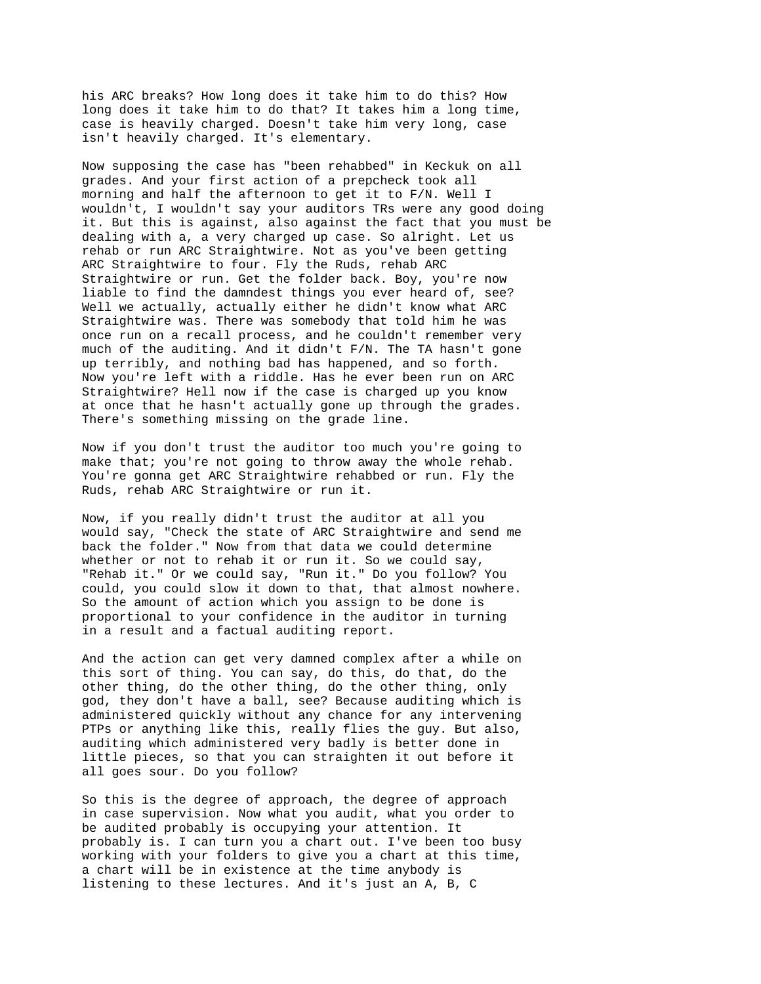his ARC breaks? How long does it take him to do this? How long does it take him to do that? It takes him a long time, case is heavily charged. Doesn't take him very long, case isn't heavily charged. It's elementary.

Now supposing the case has "been rehabbed" in Keckuk on all grades. And your first action of a prepcheck took all morning and half the afternoon to get it to F/N. Well I wouldn't, I wouldn't say your auditors TRs were any good doing it. But this is against, also against the fact that you must be dealing with a, a very charged up case. So alright. Let us rehab or run ARC Straightwire. Not as you've been getting ARC Straightwire to four. Fly the Ruds, rehab ARC Straightwire or run. Get the folder back. Boy, you're now liable to find the damndest things you ever heard of, see? Well we actually, actually either he didn't know what ARC Straightwire was. There was somebody that told him he was once run on a recall process, and he couldn't remember very much of the auditing. And it didn't F/N. The TA hasn't gone up terribly, and nothing bad has happened, and so forth. Now you're left with a riddle. Has he ever been run on ARC Straightwire? Hell now if the case is charged up you know at once that he hasn't actually gone up through the grades. There's something missing on the grade line.

Now if you don't trust the auditor too much you're going to make that; you're not going to throw away the whole rehab. You're gonna get ARC Straightwire rehabbed or run. Fly the Ruds, rehab ARC Straightwire or run it.

Now, if you really didn't trust the auditor at all you would say, "Check the state of ARC Straightwire and send me back the folder." Now from that data we could determine whether or not to rehab it or run it. So we could say, "Rehab it." Or we could say, "Run it." Do you follow? You could, you could slow it down to that, that almost nowhere. So the amount of action which you assign to be done is proportional to your confidence in the auditor in turning in a result and a factual auditing report.

And the action can get very damned complex after a while on this sort of thing. You can say, do this, do that, do the other thing, do the other thing, do the other thing, only god, they don't have a ball, see? Because auditing which is administered quickly without any chance for any intervening PTPs or anything like this, really flies the guy. But also, auditing which administered very badly is better done in little pieces, so that you can straighten it out before it all goes sour. Do you follow?

So this is the degree of approach, the degree of approach in case supervision. Now what you audit, what you order to be audited probably is occupying your attention. It probably is. I can turn you a chart out. I've been too busy working with your folders to give you a chart at this time, a chart will be in existence at the time anybody is listening to these lectures. And it's just an A, B, C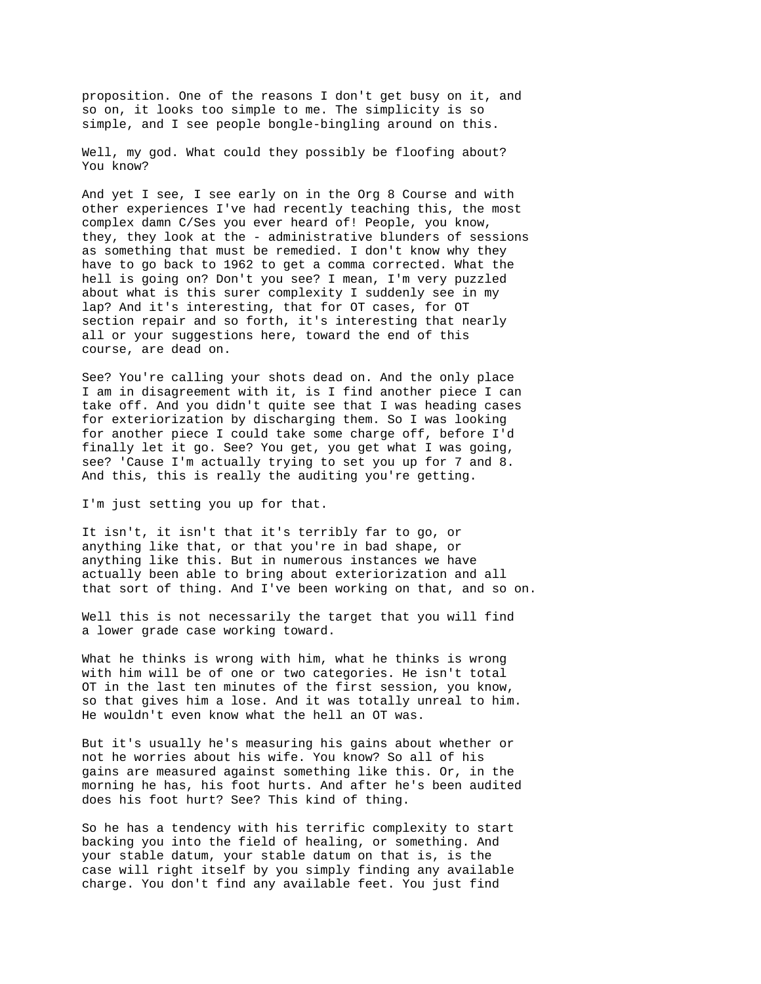proposition. One of the reasons I don't get busy on it, and so on, it looks too simple to me. The simplicity is so simple, and I see people bongle-bingling around on this.

Well, my god. What could they possibly be floofing about? You know?

And yet I see, I see early on in the Org 8 Course and with other experiences I've had recently teaching this, the most complex damn C/Ses you ever heard of! People, you know, they, they look at the - administrative blunders of sessions as something that must be remedied. I don't know why they have to go back to 1962 to get a comma corrected. What the hell is going on? Don't you see? I mean, I'm very puzzled about what is this surer complexity I suddenly see in my lap? And it's interesting, that for OT cases, for OT section repair and so forth, it's interesting that nearly all or your suggestions here, toward the end of this course, are dead on.

See? You're calling your shots dead on. And the only place I am in disagreement with it, is I find another piece I can take off. And you didn't quite see that I was heading cases for exteriorization by discharging them. So I was looking for another piece I could take some charge off, before I'd finally let it go. See? You get, you get what I was going, see? 'Cause I'm actually trying to set you up for 7 and 8. And this, this is really the auditing you're getting.

I'm just setting you up for that.

It isn't, it isn't that it's terribly far to go, or anything like that, or that you're in bad shape, or anything like this. But in numerous instances we have actually been able to bring about exteriorization and all that sort of thing. And I've been working on that, and so on.

Well this is not necessarily the target that you will find a lower grade case working toward.

What he thinks is wrong with him, what he thinks is wrong with him will be of one or two categories. He isn't total OT in the last ten minutes of the first session, you know, so that gives him a lose. And it was totally unreal to him. He wouldn't even know what the hell an OT was.

But it's usually he's measuring his gains about whether or not he worries about his wife. You know? So all of his gains are measured against something like this. Or, in the morning he has, his foot hurts. And after he's been audited does his foot hurt? See? This kind of thing.

So he has a tendency with his terrific complexity to start backing you into the field of healing, or something. And your stable datum, your stable datum on that is, is the case will right itself by you simply finding any available charge. You don't find any available feet. You just find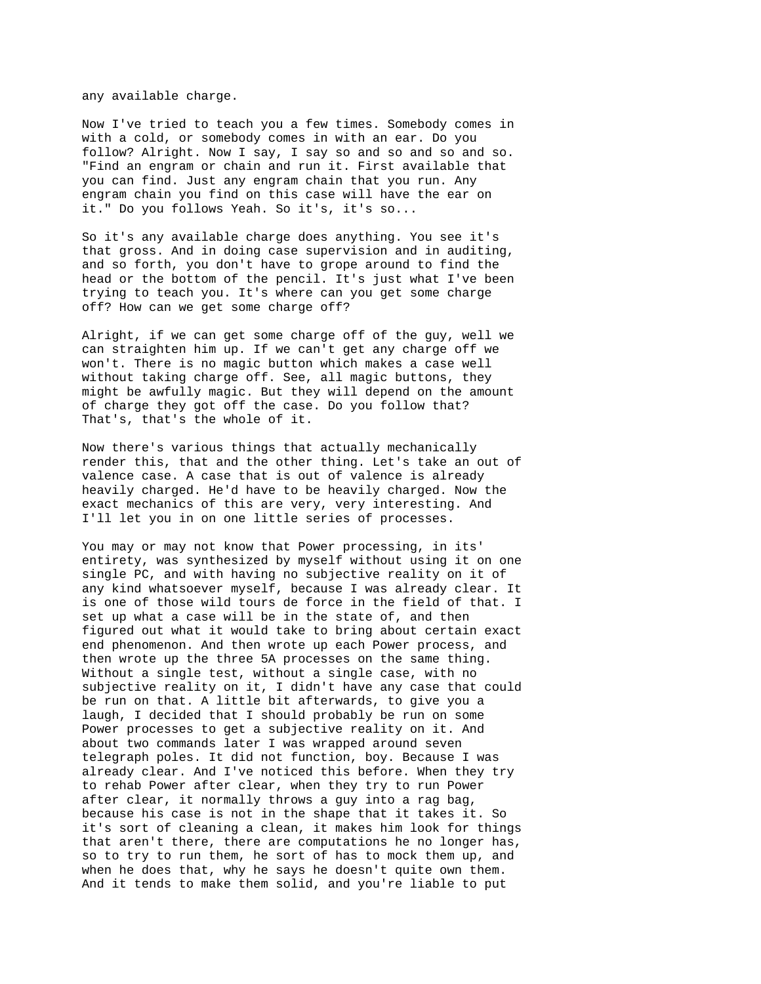any available charge.

Now I've tried to teach you a few times. Somebody comes in with a cold, or somebody comes in with an ear. Do you follow? Alright. Now I say, I say so and so and so and so. "Find an engram or chain and run it. First available that you can find. Just any engram chain that you run. Any engram chain you find on this case will have the ear on it." Do you follows Yeah. So it's, it's so...

So it's any available charge does anything. You see it's that gross. And in doing case supervision and in auditing, and so forth, you don't have to grope around to find the head or the bottom of the pencil. It's just what I've been trying to teach you. It's where can you get some charge off? How can we get some charge off?

Alright, if we can get some charge off of the guy, well we can straighten him up. If we can't get any charge off we won't. There is no magic button which makes a case well without taking charge off. See, all magic buttons, they might be awfully magic. But they will depend on the amount of charge they got off the case. Do you follow that? That's, that's the whole of it.

Now there's various things that actually mechanically render this, that and the other thing. Let's take an out of valence case. A case that is out of valence is already heavily charged. He'd have to be heavily charged. Now the exact mechanics of this are very, very interesting. And I'll let you in on one little series of processes.

You may or may not know that Power processing, in its' entirety, was synthesized by myself without using it on one single PC, and with having no subjective reality on it of any kind whatsoever myself, because I was already clear. It is one of those wild tours de force in the field of that. I set up what a case will be in the state of, and then figured out what it would take to bring about certain exact end phenomenon. And then wrote up each Power process, and then wrote up the three 5A processes on the same thing. Without a single test, without a single case, with no subjective reality on it, I didn't have any case that could be run on that. A little bit afterwards, to give you a laugh, I decided that I should probably be run on some Power processes to get a subjective reality on it. And about two commands later I was wrapped around seven telegraph poles. It did not function, boy. Because I was already clear. And I've noticed this before. When they try to rehab Power after clear, when they try to run Power after clear, it normally throws a guy into a rag bag, because his case is not in the shape that it takes it. So it's sort of cleaning a clean, it makes him look for things that aren't there, there are computations he no longer has, so to try to run them, he sort of has to mock them up, and when he does that, why he says he doesn't quite own them. And it tends to make them solid, and you're liable to put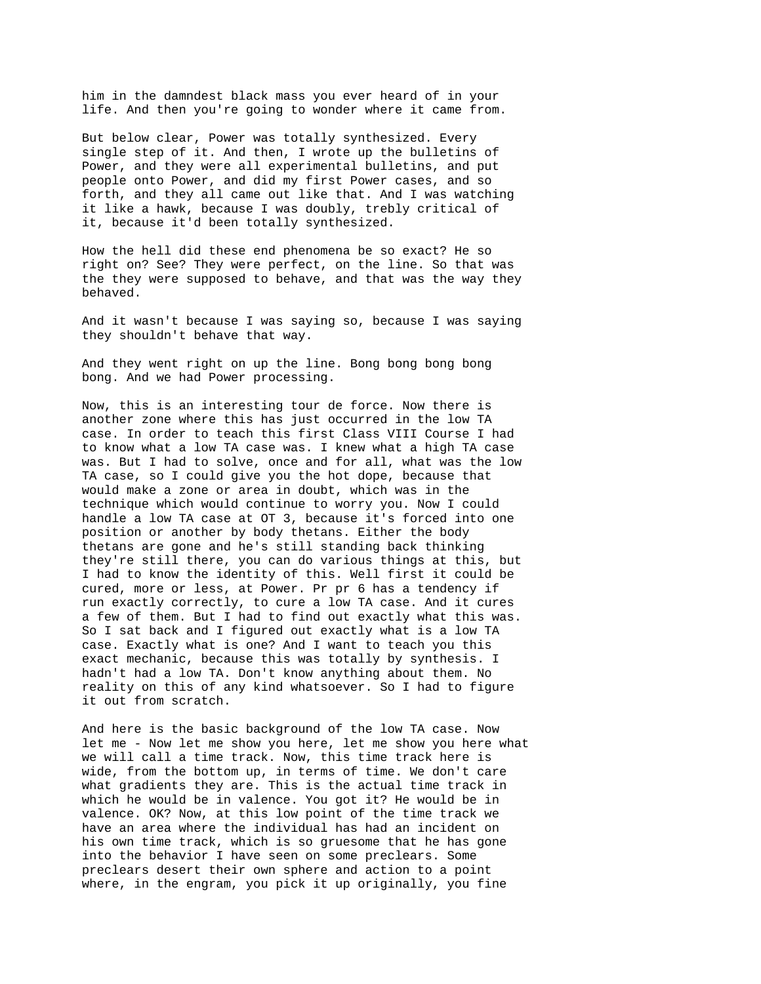him in the damndest black mass you ever heard of in your life. And then you're going to wonder where it came from.

But below clear, Power was totally synthesized. Every single step of it. And then, I wrote up the bulletins of Power, and they were all experimental bulletins, and put people onto Power, and did my first Power cases, and so forth, and they all came out like that. And I was watching it like a hawk, because I was doubly, trebly critical of it, because it'd been totally synthesized.

How the hell did these end phenomena be so exact? He so right on? See? They were perfect, on the line. So that was the they were supposed to behave, and that was the way they behaved.

And it wasn't because I was saying so, because I was saying they shouldn't behave that way.

And they went right on up the line. Bong bong bong bong bong. And we had Power processing.

Now, this is an interesting tour de force. Now there is another zone where this has just occurred in the low TA case. In order to teach this first Class VIII Course I had to know what a low TA case was. I knew what a high TA case was. But I had to solve, once and for all, what was the low TA case, so I could give you the hot dope, because that would make a zone or area in doubt, which was in the technique which would continue to worry you. Now I could handle a low TA case at OT 3, because it's forced into one position or another by body thetans. Either the body thetans are gone and he's still standing back thinking they're still there, you can do various things at this, but I had to know the identity of this. Well first it could be cured, more or less, at Power. Pr pr 6 has a tendency if run exactly correctly, to cure a low TA case. And it cures a few of them. But I had to find out exactly what this was. So I sat back and I figured out exactly what is a low TA case. Exactly what is one? And I want to teach you this exact mechanic, because this was totally by synthesis. I hadn't had a low TA. Don't know anything about them. No reality on this of any kind whatsoever. So I had to figure it out from scratch.

And here is the basic background of the low TA case. Now let me - Now let me show you here, let me show you here what we will call a time track. Now, this time track here is wide, from the bottom up, in terms of time. We don't care what gradients they are. This is the actual time track in which he would be in valence. You got it? He would be in valence. OK? Now, at this low point of the time track we have an area where the individual has had an incident on his own time track, which is so gruesome that he has gone into the behavior I have seen on some preclears. Some preclears desert their own sphere and action to a point where, in the engram, you pick it up originally, you fine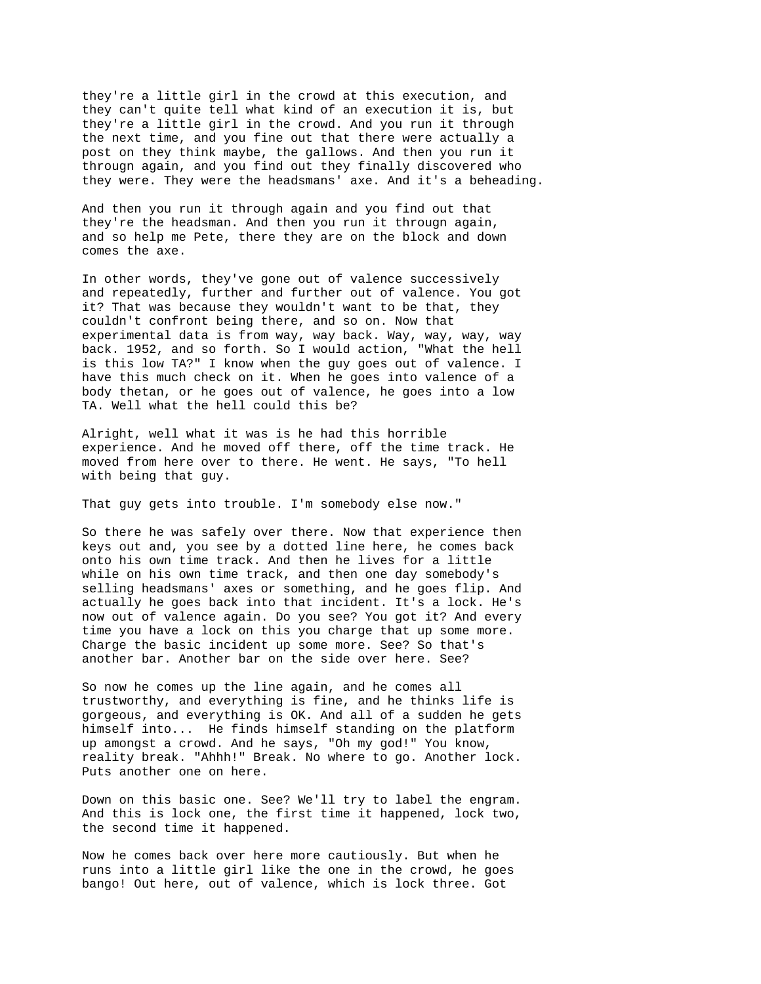they're a little girl in the crowd at this execution, and they can't quite tell what kind of an execution it is, but they're a little girl in the crowd. And you run it through the next time, and you fine out that there were actually a post on they think maybe, the gallows. And then you run it througn again, and you find out they finally discovered who they were. They were the headsmans' axe. And it's a beheading.

And then you run it through again and you find out that they're the headsman. And then you run it througn again, and so help me Pete, there they are on the block and down comes the axe.

In other words, they've gone out of valence successively and repeatedly, further and further out of valence. You got it? That was because they wouldn't want to be that, they couldn't confront being there, and so on. Now that experimental data is from way, way back. Way, way, way, way back. 1952, and so forth. So I would action, "What the hell is this low TA?" I know when the guy goes out of valence. I have this much check on it. When he goes into valence of a body thetan, or he goes out of valence, he goes into a low TA. Well what the hell could this be?

Alright, well what it was is he had this horrible experience. And he moved off there, off the time track. He moved from here over to there. He went. He says, "To hell with being that guy.

That guy gets into trouble. I'm somebody else now."

So there he was safely over there. Now that experience then keys out and, you see by a dotted line here, he comes back onto his own time track. And then he lives for a little while on his own time track, and then one day somebody's selling headsmans' axes or something, and he goes flip. And actually he goes back into that incident. It's a lock. He's now out of valence again. Do you see? You got it? And every time you have a lock on this you charge that up some more. Charge the basic incident up some more. See? So that's another bar. Another bar on the side over here. See?

So now he comes up the line again, and he comes all trustworthy, and everything is fine, and he thinks life is gorgeous, and everything is OK. And all of a sudden he gets himself into... He finds himself standing on the platform up amongst a crowd. And he says, "Oh my god!" You know, reality break. "Ahhh!" Break. No where to go. Another lock. Puts another one on here.

Down on this basic one. See? We'll try to label the engram. And this is lock one, the first time it happened, lock two, the second time it happened.

Now he comes back over here more cautiously. But when he runs into a little girl like the one in the crowd, he goes bango! Out here, out of valence, which is lock three. Got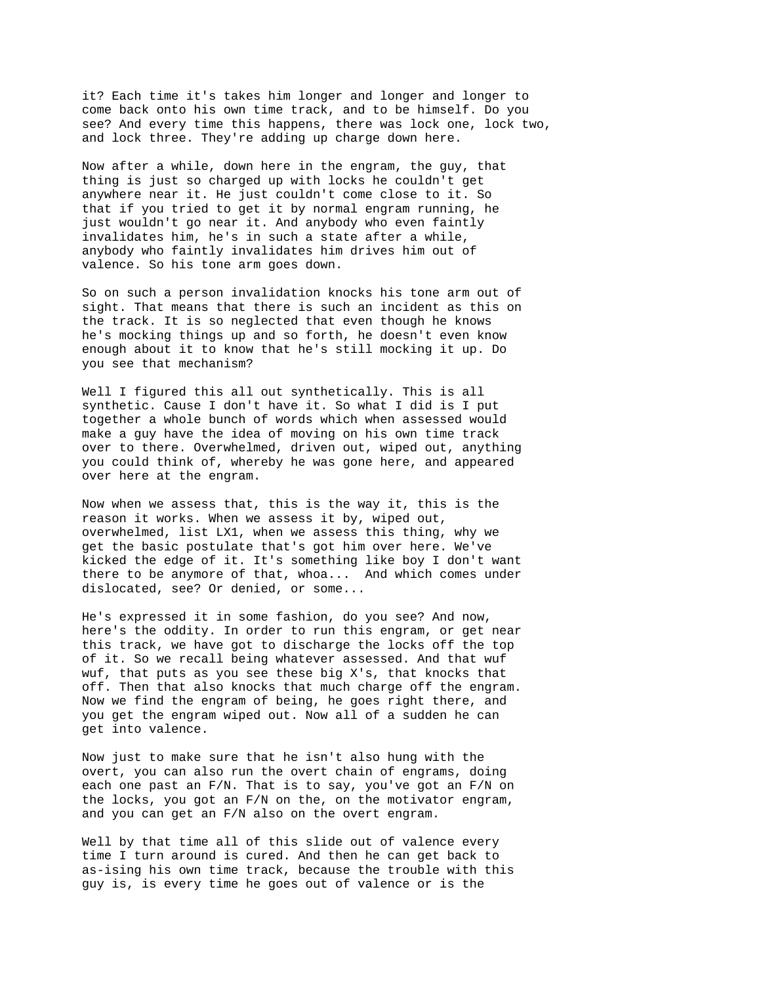it? Each time it's takes him longer and longer and longer to come back onto his own time track, and to be himself. Do you see? And every time this happens, there was lock one, lock two, and lock three. They're adding up charge down here.

Now after a while, down here in the engram, the guy, that thing is just so charged up with locks he couldn't get anywhere near it. He just couldn't come close to it. So that if you tried to get it by normal engram running, he just wouldn't go near it. And anybody who even faintly invalidates him, he's in such a state after a while, anybody who faintly invalidates him drives him out of valence. So his tone arm goes down.

So on such a person invalidation knocks his tone arm out of sight. That means that there is such an incident as this on the track. It is so neglected that even though he knows he's mocking things up and so forth, he doesn't even know enough about it to know that he's still mocking it up. Do you see that mechanism?

Well I figured this all out synthetically. This is all synthetic. Cause I don't have it. So what I did is I put together a whole bunch of words which when assessed would make a guy have the idea of moving on his own time track over to there. Overwhelmed, driven out, wiped out, anything you could think of, whereby he was gone here, and appeared over here at the engram.

Now when we assess that, this is the way it, this is the reason it works. When we assess it by, wiped out, overwhelmed, list LX1, when we assess this thing, why we get the basic postulate that's got him over here. We've kicked the edge of it. It's something like boy I don't want there to be anymore of that, whoa... And which comes under dislocated, see? Or denied, or some...

He's expressed it in some fashion, do you see? And now, here's the oddity. In order to run this engram, or get near this track, we have got to discharge the locks off the top of it. So we recall being whatever assessed. And that wuf wuf, that puts as you see these big X's, that knocks that off. Then that also knocks that much charge off the engram. Now we find the engram of being, he goes right there, and you get the engram wiped out. Now all of a sudden he can get into valence.

Now just to make sure that he isn't also hung with the overt, you can also run the overt chain of engrams, doing each one past an F/N. That is to say, you've got an F/N on the locks, you got an F/N on the, on the motivator engram, and you can get an F/N also on the overt engram.

Well by that time all of this slide out of valence every time I turn around is cured. And then he can get back to as-ising his own time track, because the trouble with this guy is, is every time he goes out of valence or is the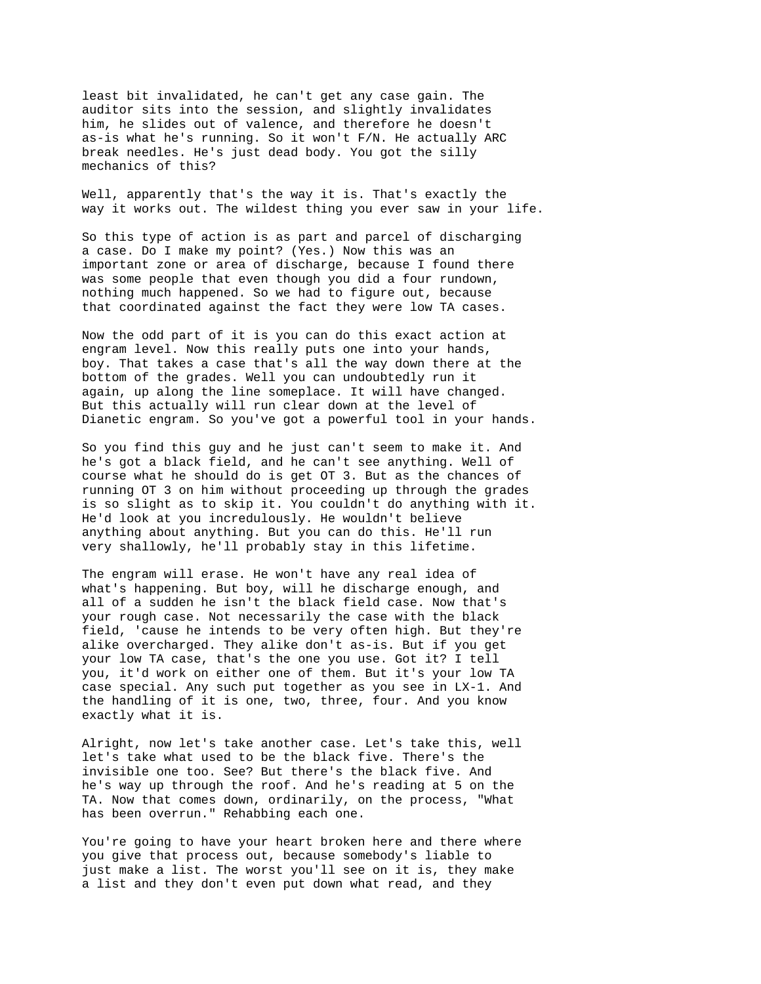least bit invalidated, he can't get any case gain. The auditor sits into the session, and slightly invalidates him, he slides out of valence, and therefore he doesn't as-is what he's running. So it won't F/N. He actually ARC break needles. He's just dead body. You got the silly mechanics of this?

Well, apparently that's the way it is. That's exactly the way it works out. The wildest thing you ever saw in your life.

So this type of action is as part and parcel of discharging a case. Do I make my point? (Yes.) Now this was an important zone or area of discharge, because I found there was some people that even though you did a four rundown, nothing much happened. So we had to figure out, because that coordinated against the fact they were low TA cases.

Now the odd part of it is you can do this exact action at engram level. Now this really puts one into your hands, boy. That takes a case that's all the way down there at the bottom of the grades. Well you can undoubtedly run it again, up along the line someplace. It will have changed. But this actually will run clear down at the level of Dianetic engram. So you've got a powerful tool in your hands.

So you find this guy and he just can't seem to make it. And he's got a black field, and he can't see anything. Well of course what he should do is get OT 3. But as the chances of running OT 3 on him without proceeding up through the grades is so slight as to skip it. You couldn't do anything with it. He'd look at you incredulously. He wouldn't believe anything about anything. But you can do this. He'll run very shallowly, he'll probably stay in this lifetime.

The engram will erase. He won't have any real idea of what's happening. But boy, will he discharge enough, and all of a sudden he isn't the black field case. Now that's your rough case. Not necessarily the case with the black field, 'cause he intends to be very often high. But they're alike overcharged. They alike don't as-is. But if you get your low TA case, that's the one you use. Got it? I tell you, it'd work on either one of them. But it's your low TA case special. Any such put together as you see in LX-1. And the handling of it is one, two, three, four. And you know exactly what it is.

Alright, now let's take another case. Let's take this, well let's take what used to be the black five. There's the invisible one too. See? But there's the black five. And he's way up through the roof. And he's reading at 5 on the TA. Now that comes down, ordinarily, on the process, "What has been overrun." Rehabbing each one.

You're going to have your heart broken here and there where you give that process out, because somebody's liable to just make a list. The worst you'll see on it is, they make a list and they don't even put down what read, and they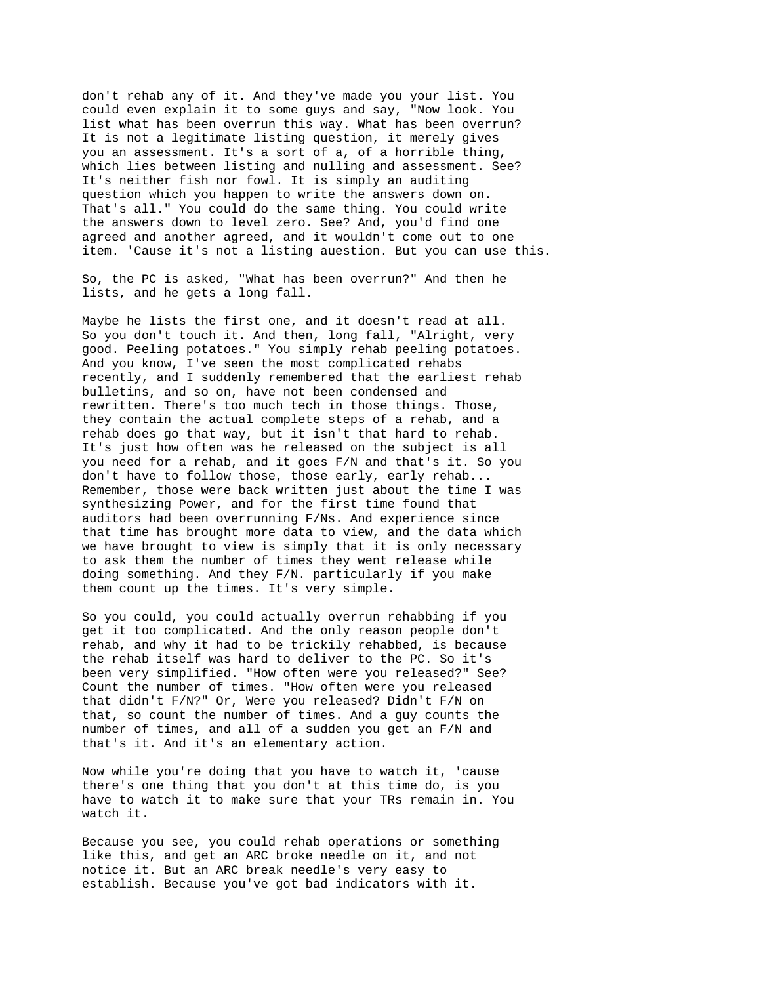don't rehab any of it. And they've made you your list. You could even explain it to some guys and say, "Now look. You list what has been overrun this way. What has been overrun? It is not a legitimate listing question, it merely gives you an assessment. It's a sort of a, of a horrible thing, which lies between listing and nulling and assessment. See? It's neither fish nor fowl. It is simply an auditing question which you happen to write the answers down on. That's all." You could do the same thing. You could write the answers down to level zero. See? And, you'd find one agreed and another agreed, and it wouldn't come out to one item. 'Cause it's not a listing auestion. But you can use this.

So, the PC is asked, "What has been overrun?" And then he lists, and he gets a long fall.

Maybe he lists the first one, and it doesn't read at all. So you don't touch it. And then, long fall, "Alright, very good. Peeling potatoes." You simply rehab peeling potatoes. And you know, I've seen the most complicated rehabs recently, and I suddenly remembered that the earliest rehab bulletins, and so on, have not been condensed and rewritten. There's too much tech in those things. Those, they contain the actual complete steps of a rehab, and a rehab does go that way, but it isn't that hard to rehab. It's just how often was he released on the subject is all you need for a rehab, and it goes F/N and that's it. So you don't have to follow those, those early, early rehab... Remember, those were back written just about the time I was synthesizing Power, and for the first time found that auditors had been overrunning F/Ns. And experience since that time has brought more data to view, and the data which we have brought to view is simply that it is only necessary to ask them the number of times they went release while doing something. And they F/N. particularly if you make them count up the times. It's very simple.

So you could, you could actually overrun rehabbing if you get it too complicated. And the only reason people don't rehab, and why it had to be trickily rehabbed, is because the rehab itself was hard to deliver to the PC. So it's been very simplified. "How often were you released?" See? Count the number of times. "How often were you released that didn't F/N?" Or, Were you released? Didn't F/N on that, so count the number of times. And a guy counts the number of times, and all of a sudden you get an F/N and that's it. And it's an elementary action.

Now while you're doing that you have to watch it, 'cause there's one thing that you don't at this time do, is you have to watch it to make sure that your TRs remain in. You watch it.

Because you see, you could rehab operations or something like this, and get an ARC broke needle on it, and not notice it. But an ARC break needle's very easy to establish. Because you've got bad indicators with it.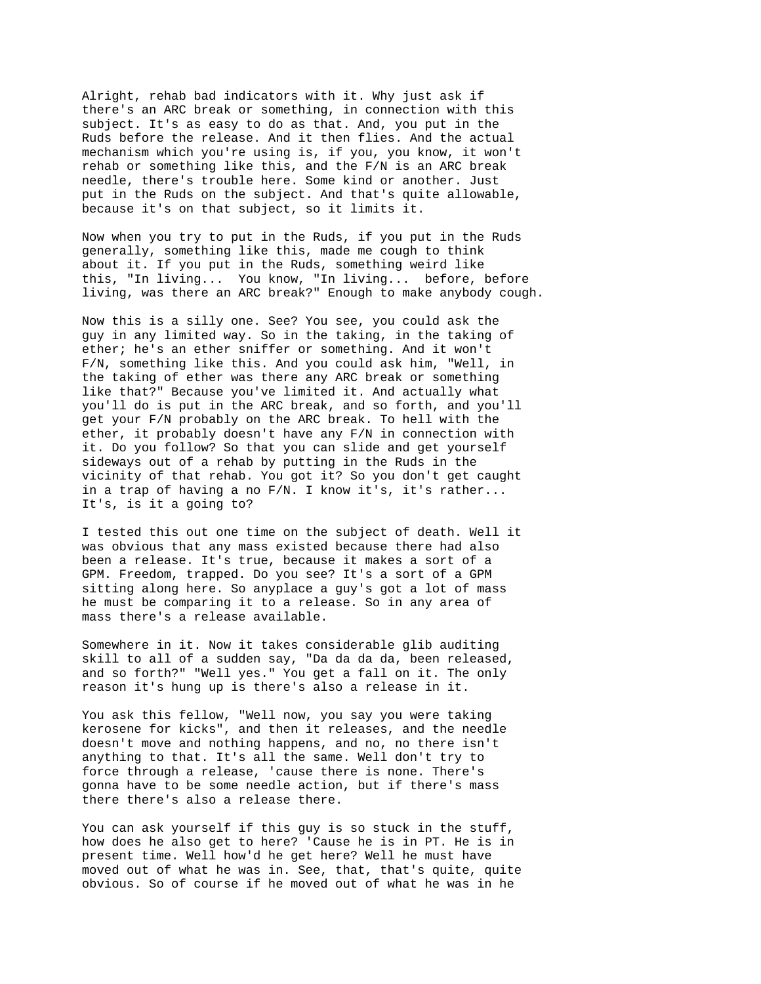Alright, rehab bad indicators with it. Why just ask if there's an ARC break or something, in connection with this subject. It's as easy to do as that. And, you put in the Ruds before the release. And it then flies. And the actual mechanism which you're using is, if you, you know, it won't rehab or something like this, and the F/N is an ARC break needle, there's trouble here. Some kind or another. Just put in the Ruds on the subject. And that's quite allowable, because it's on that subject, so it limits it.

Now when you try to put in the Ruds, if you put in the Ruds generally, something like this, made me cough to think about it. If you put in the Ruds, something weird like this, "In living... You know, "In living... before, before living, was there an ARC break?" Enough to make anybody cough.

Now this is a silly one. See? You see, you could ask the guy in any limited way. So in the taking, in the taking of ether; he's an ether sniffer or something. And it won't F/N, something like this. And you could ask him, "Well, in the taking of ether was there any ARC break or something like that?" Because you've limited it. And actually what you'll do is put in the ARC break, and so forth, and you'll get your F/N probably on the ARC break. To hell with the ether, it probably doesn't have any F/N in connection with it. Do you follow? So that you can slide and get yourself sideways out of a rehab by putting in the Ruds in the vicinity of that rehab. You got it? So you don't get caught in a trap of having a no F/N. I know it's, it's rather... It's, is it a going to?

I tested this out one time on the subject of death. Well it was obvious that any mass existed because there had also been a release. It's true, because it makes a sort of a GPM. Freedom, trapped. Do you see? It's a sort of a GPM sitting along here. So anyplace a guy's got a lot of mass he must be comparing it to a release. So in any area of mass there's a release available.

Somewhere in it. Now it takes considerable glib auditing skill to all of a sudden say, "Da da da da, been released, and so forth?" "Well yes." You get a fall on it. The only reason it's hung up is there's also a release in it.

You ask this fellow, "Well now, you say you were taking kerosene for kicks", and then it releases, and the needle doesn't move and nothing happens, and no, no there isn't anything to that. It's all the same. Well don't try to force through a release, 'cause there is none. There's gonna have to be some needle action, but if there's mass there there's also a release there.

You can ask yourself if this guy is so stuck in the stuff, how does he also get to here? 'Cause he is in PT. He is in present time. Well how'd he get here? Well he must have moved out of what he was in. See, that, that's quite, quite obvious. So of course if he moved out of what he was in he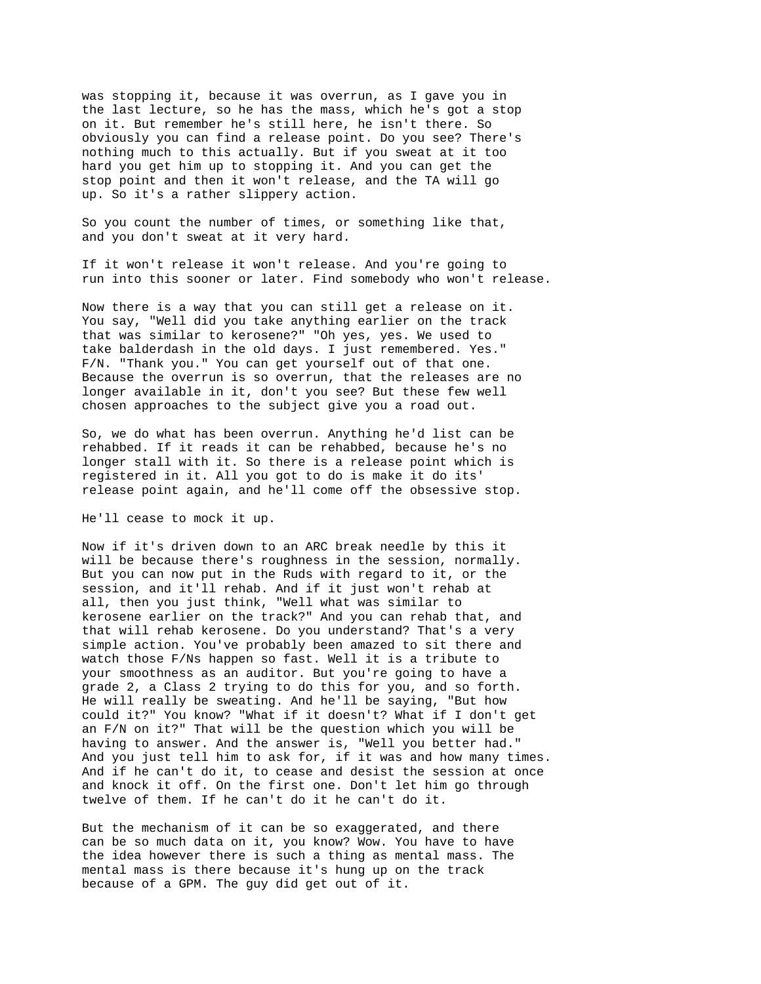was stopping it, because it was overrun, as I gave you in the last lecture, so he has the mass, which he's got a stop on it. But remember he's still here, he isn't there. So obviously you can find a release point. Do you see? There's nothing much to this actually. But if you sweat at it too hard you get him up to stopping it. And you can get the stop point and then it won't release, and the TA will go up. So it's a rather slippery action.

So you count the number of times, or something like that, and you don't sweat at it very hard.

If it won't release it won't release. And you're going to run into this sooner or later. Find somebody who won't release.

Now there is a way that you can still get a release on it. You say, "Well did you take anything earlier on the track that was similar to kerosene?" "Oh yes, yes. We used to take balderdash in the old days. I just remembered. Yes." F/N. "Thank you." You can get yourself out of that one. Because the overrun is so overrun, that the releases are no longer available in it, don't you see? But these few well chosen approaches to the subject give you a road out.

So, we do what has been overrun. Anything he'd list can be rehabbed. If it reads it can be rehabbed, because he's no longer stall with it. So there is a release point which is registered in it. All you got to do is make it do its' release point again, and he'll come off the obsessive stop.

He'll cease to mock it up.

Now if it's driven down to an ARC break needle by this it will be because there's roughness in the session, normally. But you can now put in the Ruds with regard to it, or the session, and it'll rehab. And if it just won't rehab at all, then you just think, "Well what was similar to kerosene earlier on the track?" And you can rehab that, and that will rehab kerosene. Do you understand? That's a very simple action. You've probably been amazed to sit there and watch those F/Ns happen so fast. Well it is a tribute to your smoothness as an auditor. But you're going to have a grade 2, a Class 2 trying to do this for you, and so forth. He will really be sweating. And he'll be saying, "But how could it?" You know? "What if it doesn't? What if I don't get an F/N on it?" That will be the question which you will be having to answer. And the answer is, "Well you better had." And you just tell him to ask for, if it was and how many times. And if he can't do it, to cease and desist the session at once and knock it off. On the first one. Don't let him go through twelve of them. If he can't do it he can't do it.

But the mechanism of it can be so exaggerated, and there can be so much data on it, you know? Wow. You have to have the idea however there is such a thing as mental mass. The mental mass is there because it's hung up on the track because of a GPM. The guy did get out of it.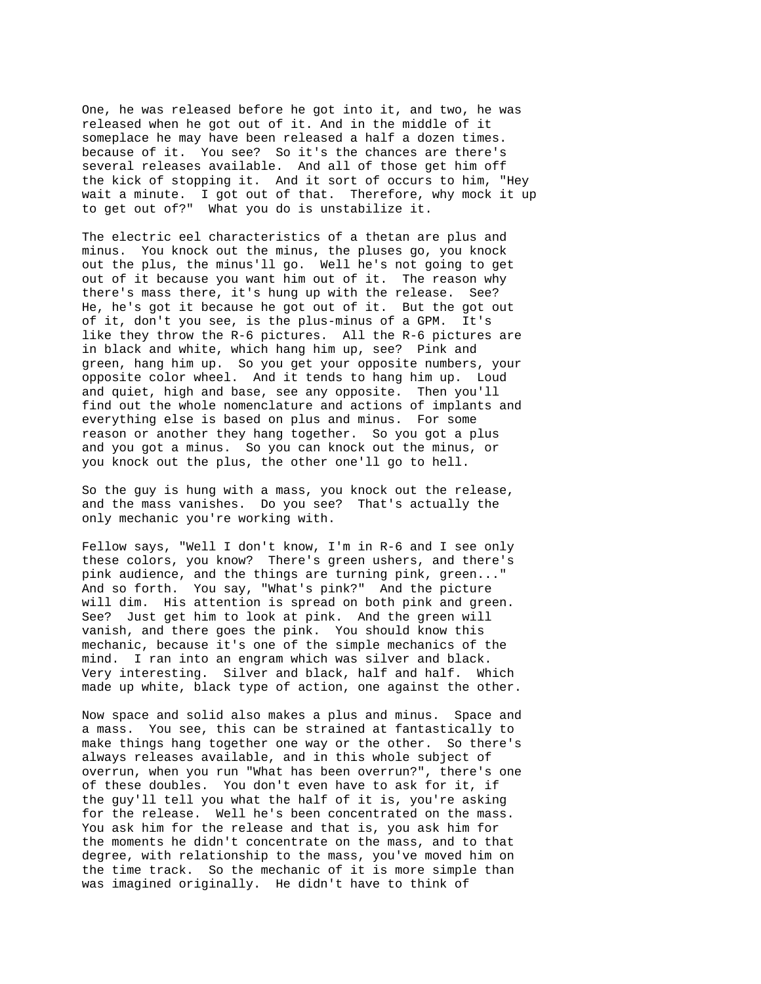One, he was released before he got into it, and two, he was released when he got out of it. And in the middle of it someplace he may have been released a half a dozen times. because of it. You see? So it's the chances are there's several releases available. And all of those get him off the kick of stopping it. And it sort of occurs to him, "Hey wait a minute. I got out of that. Therefore, why mock it up to get out of?" What you do is unstabilize it.

The electric eel characteristics of a thetan are plus and minus. You knock out the minus, the pluses go, you knock out the plus, the minus'll go. Well he's not going to get out of it because you want him out of it. The reason why there's mass there, it's hung up with the release. See? He, he's got it because he got out of it. But the got out of it, don't you see, is the plus-minus of a GPM. It's like they throw the R-6 pictures. All the R-6 pictures are in black and white, which hang him up, see? Pink and green, hang him up. So you get your opposite numbers, your opposite color wheel. And it tends to hang him up. Loud and quiet, high and base, see any opposite. Then you'll find out the whole nomenclature and actions of implants and everything else is based on plus and minus. For some reason or another they hang together. So you got a plus and you got a minus. So you can knock out the minus, or you knock out the plus, the other one'll go to hell.

So the guy is hung with a mass, you knock out the release, and the mass vanishes. Do you see? That's actually the only mechanic you're working with.

Fellow says, "Well I don't know, I'm in R-6 and I see only these colors, you know? There's green ushers, and there's pink audience, and the things are turning pink, green..." And so forth. You say, "What's pink?" And the picture will dim. His attention is spread on both pink and green. See? Just get him to look at pink. And the green will vanish, and there goes the pink. You should know this mechanic, because it's one of the simple mechanics of the mind. I ran into an engram which was silver and black. Very interesting. Silver and black, half and half. Which made up white, black type of action, one against the other.

Now space and solid also makes a plus and minus. Space and a mass. You see, this can be strained at fantastically to make things hang together one way or the other. So there's always releases available, and in this whole subject of overrun, when you run "What has been overrun?", there's one of these doubles. You don't even have to ask for it, if the guy'll tell you what the half of it is, you're asking for the release. Well he's been concentrated on the mass. You ask him for the release and that is, you ask him for the moments he didn't concentrate on the mass, and to that degree, with relationship to the mass, you've moved him on the time track. So the mechanic of it is more simple than was imagined originally. He didn't have to think of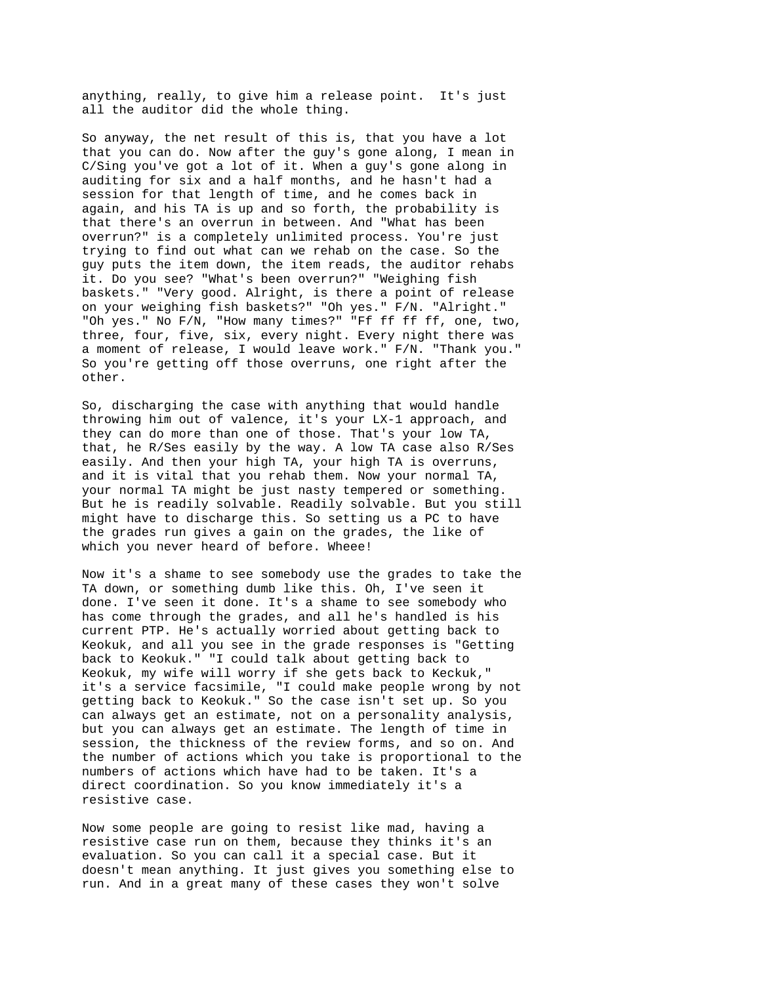anything, really, to give him a release point. It's just all the auditor did the whole thing.

So anyway, the net result of this is, that you have a lot that you can do. Now after the guy's gone along, I mean in C/Sing you've got a lot of it. When a guy's gone along in auditing for six and a half months, and he hasn't had a session for that length of time, and he comes back in again, and his TA is up and so forth, the probability is that there's an overrun in between. And "What has been overrun?" is a completely unlimited process. You're just trying to find out what can we rehab on the case. So the guy puts the item down, the item reads, the auditor rehabs it. Do you see? "What's been overrun?" "Weighing fish baskets." "Very good. Alright, is there a point of release on your weighing fish baskets?" "Oh yes." F/N. "Alright." "Oh yes." No F/N, "How many times?" "Ff ff ff ff, one, two, three, four, five, six, every night. Every night there was a moment of release, I would leave work." F/N. "Thank you." So you're getting off those overruns, one right after the other.

So, discharging the case with anything that would handle throwing him out of valence, it's your LX-1 approach, and they can do more than one of those. That's your low TA, that, he R/Ses easily by the way. A low TA case also R/Ses easily. And then your high TA, your high TA is overruns, and it is vital that you rehab them. Now your normal TA, your normal TA might be just nasty tempered or something. But he is readily solvable. Readily solvable. But you still might have to discharge this. So setting us a PC to have the grades run gives a gain on the grades, the like of which you never heard of before. Wheee!

Now it's a shame to see somebody use the grades to take the TA down, or something dumb like this. Oh, I've seen it done. I've seen it done. It's a shame to see somebody who has come through the grades, and all he's handled is his current PTP. He's actually worried about getting back to Keokuk, and all you see in the grade responses is "Getting back to Keokuk." "I could talk about getting back to Keokuk, my wife will worry if she gets back to Keckuk," it's a service facsimile, "I could make people wrong by not getting back to Keokuk." So the case isn't set up. So you can always get an estimate, not on a personality analysis, but you can always get an estimate. The length of time in session, the thickness of the review forms, and so on. And the number of actions which you take is proportional to the numbers of actions which have had to be taken. It's a direct coordination. So you know immediately it's a resistive case.

Now some people are going to resist like mad, having a resistive case run on them, because they thinks it's an evaluation. So you can call it a special case. But it doesn't mean anything. It just gives you something else to run. And in a great many of these cases they won't solve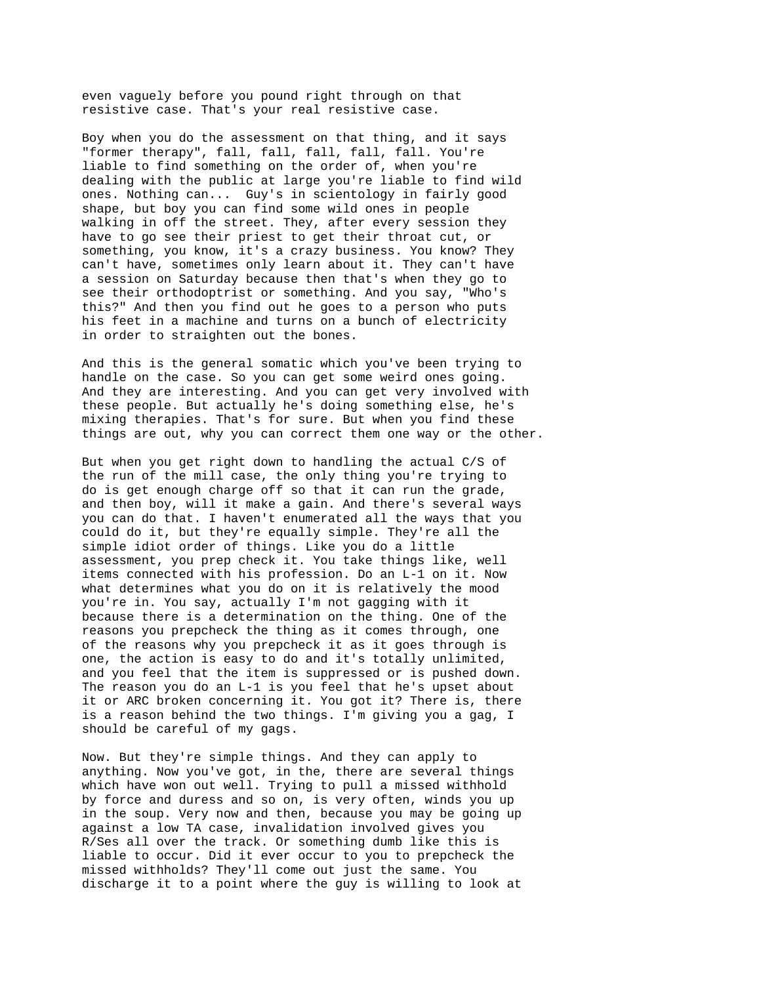even vaguely before you pound right through on that resistive case. That's your real resistive case.

Boy when you do the assessment on that thing, and it says "former therapy", fall, fall, fall, fall, fall. You're liable to find something on the order of, when you're dealing with the public at large you're liable to find wild ones. Nothing can... Guy's in scientology in fairly good shape, but boy you can find some wild ones in people walking in off the street. They, after every session they have to go see their priest to get their throat cut, or something, you know, it's a crazy business. You know? They can't have, sometimes only learn about it. They can't have a session on Saturday because then that's when they go to see their orthodoptrist or something. And you say, "Who's this?" And then you find out he goes to a person who puts his feet in a machine and turns on a bunch of electricity in order to straighten out the bones.

And this is the general somatic which you've been trying to handle on the case. So you can get some weird ones going. And they are interesting. And you can get very involved with these people. But actually he's doing something else, he's mixing therapies. That's for sure. But when you find these things are out, why you can correct them one way or the other.

But when you get right down to handling the actual C/S of the run of the mill case, the only thing you're trying to do is get enough charge off so that it can run the grade, and then boy, will it make a gain. And there's several ways you can do that. I haven't enumerated all the ways that you could do it, but they're equally simple. They're all the simple idiot order of things. Like you do a little assessment, you prep check it. You take things like, well items connected with his profession. Do an L-1 on it. Now what determines what you do on it is relatively the mood you're in. You say, actually I'm not gagging with it because there is a determination on the thing. One of the reasons you prepcheck the thing as it comes through, one of the reasons why you prepcheck it as it goes through is one, the action is easy to do and it's totally unlimited, and you feel that the item is suppressed or is pushed down. The reason you do an L-1 is you feel that he's upset about it or ARC broken concerning it. You got it? There is, there is a reason behind the two things. I'm giving you a gag, I should be careful of my gags.

Now. But they're simple things. And they can apply to anything. Now you've got, in the, there are several things which have won out well. Trying to pull a missed withhold by force and duress and so on, is very often, winds you up in the soup. Very now and then, because you may be going up against a low TA case, invalidation involved gives you R/Ses all over the track. Or something dumb like this is liable to occur. Did it ever occur to you to prepcheck the missed withholds? They'll come out just the same. You discharge it to a point where the guy is willing to look at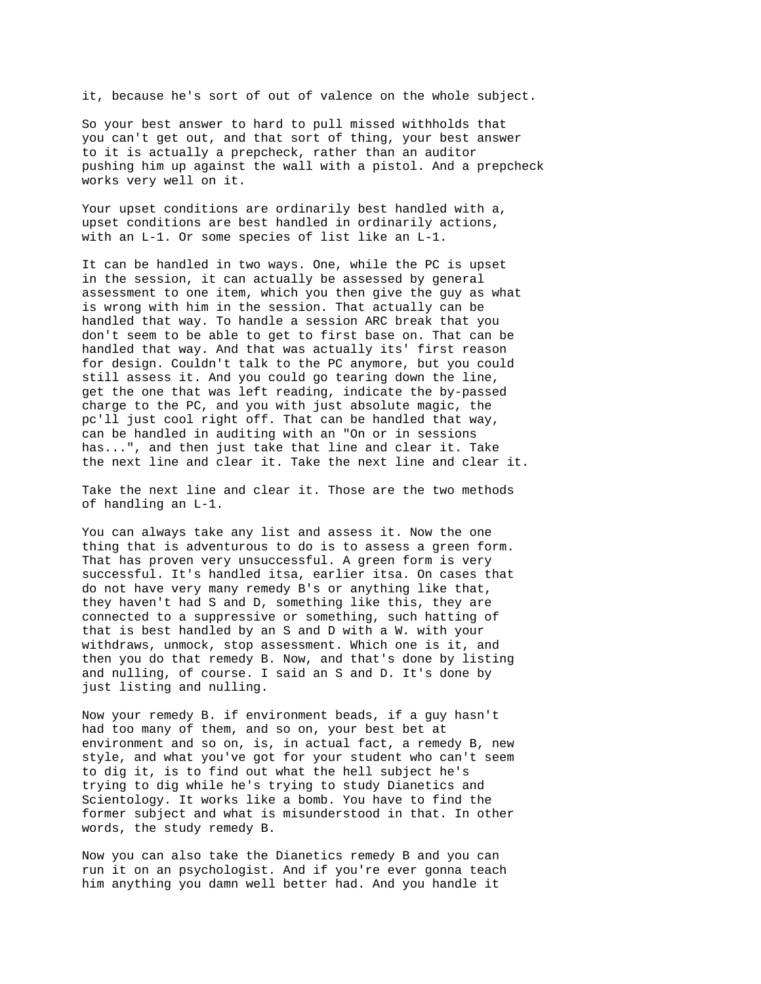it, because he's sort of out of valence on the whole subject.

So your best answer to hard to pull missed withholds that you can't get out, and that sort of thing, your best answer to it is actually a prepcheck, rather than an auditor pushing him up against the wall with a pistol. And a prepcheck works very well on it.

Your upset conditions are ordinarily best handled with a, upset conditions are best handled in ordinarily actions, with an L-1. Or some species of list like an L-1.

It can be handled in two ways. One, while the PC is upset in the session, it can actually be assessed by general assessment to one item, which you then give the guy as what is wrong with him in the session. That actually can be handled that way. To handle a session ARC break that you don't seem to be able to get to first base on. That can be handled that way. And that was actually its' first reason for design. Couldn't talk to the PC anymore, but you could still assess it. And you could go tearing down the line, get the one that was left reading, indicate the by-passed charge to the PC, and you with just absolute magic, the pc'll just cool right off. That can be handled that way, can be handled in auditing with an "On or in sessions has...", and then just take that line and clear it. Take the next line and clear it. Take the next line and clear it.

Take the next line and clear it. Those are the two methods of handling an L-1.

You can always take any list and assess it. Now the one thing that is adventurous to do is to assess a green form. That has proven very unsuccessful. A green form is very successful. It's handled itsa, earlier itsa. On cases that do not have very many remedy B's or anything like that, they haven't had S and D, something like this, they are connected to a suppressive or something, such hatting of that is best handled by an S and D with a W. with your withdraws, unmock, stop assessment. Which one is it, and then you do that remedy B. Now, and that's done by listing and nulling, of course. I said an S and D. It's done by just listing and nulling.

Now your remedy B. if environment beads, if a guy hasn't had too many of them, and so on, your best bet at environment and so on, is, in actual fact, a remedy B, new style, and what you've got for your student who can't seem to dig it, is to find out what the hell subject he's trying to dig while he's trying to study Dianetics and Scientology. It works like a bomb. You have to find the former subject and what is misunderstood in that. In other words, the study remedy B.

Now you can also take the Dianetics remedy B and you can run it on an psychologist. And if you're ever gonna teach him anything you damn well better had. And you handle it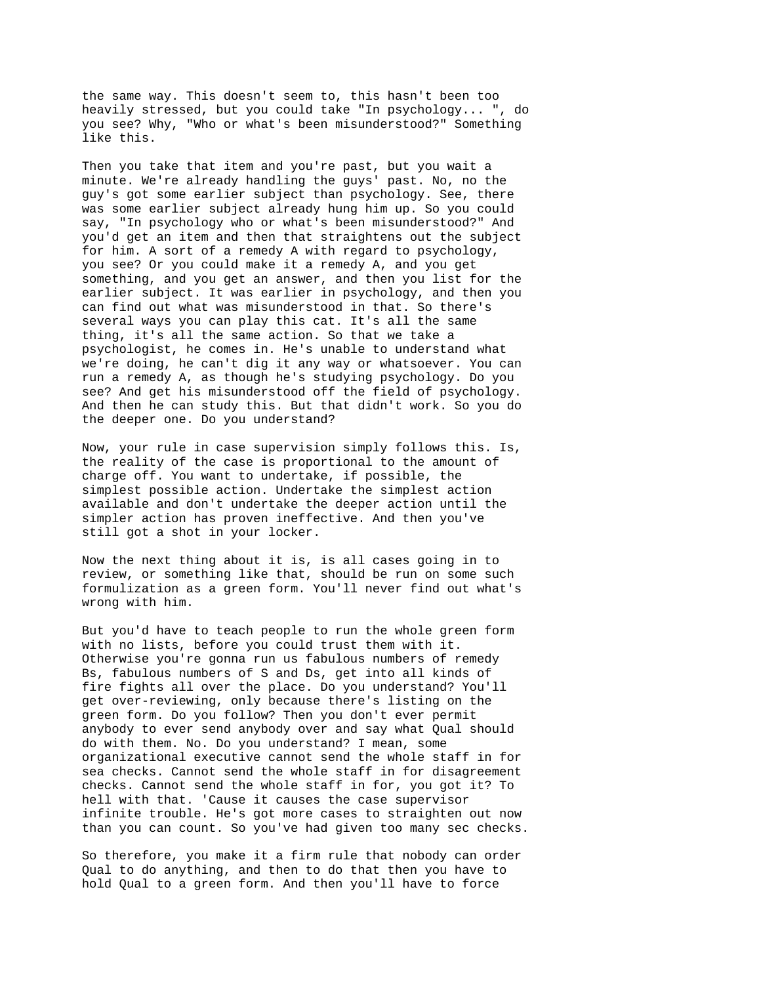the same way. This doesn't seem to, this hasn't been too heavily stressed, but you could take "In psychology... ", do you see? Why, "Who or what's been misunderstood?" Something like this.

Then you take that item and you're past, but you wait a minute. We're already handling the guys' past. No, no the guy's got some earlier subject than psychology. See, there was some earlier subject already hung him up. So you could say, "In psychology who or what's been misunderstood?" And you'd get an item and then that straightens out the subject for him. A sort of a remedy A with regard to psychology, you see? Or you could make it a remedy A, and you get something, and you get an answer, and then you list for the earlier subject. It was earlier in psychology, and then you can find out what was misunderstood in that. So there's several ways you can play this cat. It's all the same thing, it's all the same action. So that we take a psychologist, he comes in. He's unable to understand what we're doing, he can't dig it any way or whatsoever. You can run a remedy A, as though he's studying psychology. Do you see? And get his misunderstood off the field of psychology. And then he can study this. But that didn't work. So you do the deeper one. Do you understand?

Now, your rule in case supervision simply follows this. Is, the reality of the case is proportional to the amount of charge off. You want to undertake, if possible, the simplest possible action. Undertake the simplest action available and don't undertake the deeper action until the simpler action has proven ineffective. And then you've still got a shot in your locker.

Now the next thing about it is, is all cases going in to review, or something like that, should be run on some such formulization as a green form. You'll never find out what's wrong with him.

But you'd have to teach people to run the whole green form with no lists, before you could trust them with it. Otherwise you're gonna run us fabulous numbers of remedy Bs, fabulous numbers of S and Ds, get into all kinds of fire fights all over the place. Do you understand? You'll get over-reviewing, only because there's listing on the green form. Do you follow? Then you don't ever permit anybody to ever send anybody over and say what Qual should do with them. No. Do you understand? I mean, some organizational executive cannot send the whole staff in for sea checks. Cannot send the whole staff in for disagreement checks. Cannot send the whole staff in for, you got it? To hell with that. 'Cause it causes the case supervisor infinite trouble. He's got more cases to straighten out now than you can count. So you've had given too many sec checks.

So therefore, you make it a firm rule that nobody can order Qual to do anything, and then to do that then you have to hold Qual to a green form. And then you'll have to force